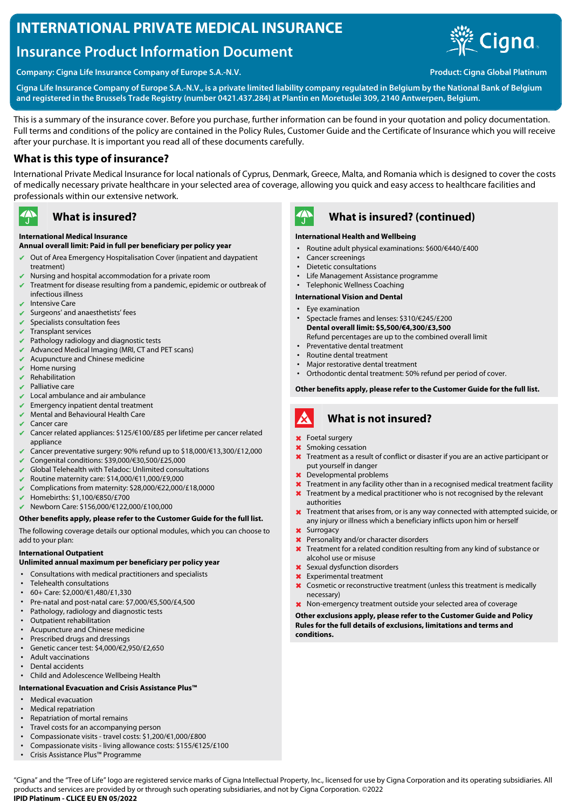# **INTERNATIONAL PRIVATE MEDICAL INSURANCE**

# **Insurance Product Information Document**



**Company: Cigna Life Insurance Company of Europe S.A.-N.V. Product: Cigna Global Platinum** 

**Cigna Life Insurance Company of Europe S.A.-N.V., is a private limited liability company regulated in Belgium by the National Bank of Belgium and registered in the Brussels Trade Registry (number 0421.437.284) at Plantin en Moretuslei 309, 2140 Antwerpen, Belgium.**

This is a summary of the insurance cover. Before you purchase, further information can be found in your quotation and policy documentation. Full terms and conditions of the policy are contained in the Policy Rules, Customer Guide and the Certificate of Insurance which you will receive after your purchase. It is important you read all of these documents carefully.

## **What is this type of insurance?**

International Private Medical Insurance for local nationals of Cyprus, Denmark, Greece, Malta, and Romania which is designed to cover the costs of medically necessary private healthcare in your selected area of coverage, allowing you quick and easy access to healthcare facilities and professionals within our extensive network.

#### $\mathbf{A}$ **What is insured?**

#### **International Medical Insurance**

### **Annual overall limit: Paid in full per beneficiary per policy year**

- ✔ Out of Area Emergency Hospitalisation Cover (inpatient and daypatient treatment)
- Nursing and hospital accommodation for a private room
- Treatment for disease resulting from a pandemic, epidemic or outbreak of infectious illness
- ✔ Intensive Care
- ✔ Surgeons' and anaesthetists' fees
- $\vee$  Specialists consultation fees
- ✔ Transplant services
- Pathology radiology and diagnostic tests
- $\vee$  Advanced Medical Imaging (MRI, CT and PET scans)
- $\vee$  Acupuncture and Chinese medicine
- $\vee$  Home nursing
- **Rehabilitation**
- ✔ Palliative care
- $\vee$  Local ambulance and air ambulance
- Emergency inpatient dental treatment
- $\vee$  Mental and Behavioural Health Care
- Cancer care
- ✔ Cancer related appliances: \$125/€100/£85 per lifetime per cancer related appliance
- Cancer preventative surgery: 90% refund up to \$18,000/€13,300/£12,000
- ✔ Congenital conditions: \$39,000/€30,500/£25,000
- Global Telehealth with Teladoc: Unlimited consultations
- ✔ Routine maternity care: \$14,000/€11,000/£9,000
- ✔ Complications from maternity: \$28,000/€22,000/£18,0000
- ✔ Homebirths: \$1,100/€850/£700
- ✔ Newborn Care: \$156,000/€122,000/£100,000

#### **Other benefits apply, please refer to the Customer Guide for the full list.**

The following coverage details our optional modules, which you can choose to add to your plan:

#### **International Outpatient**

#### **Unlimited annual maximum per beneficiary per policy year**

- Consultations with medical practitioners and specialists
- Telehealth consultations
- 60+ Care: \$2,000/€1,480/£1,330
- Pre-natal and post-natal care: \$7,000/€5,500/£4,500
- Pathology, radiology and diagnostic tests
- Outpatient rehabilitation
- Acupuncture and Chinese medicine
- Prescribed drugs and dressings
- Genetic cancer test: \$4,000/€2,950/£2,650
- Adult vaccinations
- Dental accidents
- Child and Adolescence Wellbeing Health

### **International Evacuation and Crisis Assistance Plus™**

- Medical evacuation
- Medical repatriation
- Repatriation of mortal remains
- Travel costs for an accompanying person
- Compassionate visits travel costs: \$1,200/€1,000/£800
- Compassionate visits living allowance costs: \$155/€125/£100
- Crisis Assistance Plus™ Programme



## **What is insured? (continued)**

#### **International Health and Wellbeing**

- Routine adult physical examinations: \$600/€440/£400
- Cancer screenings
- Dietetic consultations
- Life Management Assistance programme
- Telephonic Wellness Coaching

#### **International Vision and Dental**

- Eye examination
- Spectacle frames and lenses: \$310/€245/£200 **Dental overall limit: \$5,500/€4,300/£3,500**
- Refund percentages are up to the combined overall limit
- Preventative dental treatment
- Routine dental treatment
- Major restorative dental treatment
- Orthodontic dental treatment: 50% refund per period of cover.

**Other benefits apply, please refer to the Customer Guide for the full list.**

#### A **What is not insured?**

- ✖ Foetal surgery
- Smoking cessation
- **X** Treatment as a result of conflict or disaster if you are an active participant or put yourself in danger
- ✖ Developmental problems
- Treatment in any facility other than in a recognised medical treatment facility
- **X** Treatment by a medical practitioner who is not recognised by the relevant authorities
- ✖ Treatment that arises from, or is any way connected with attempted suicide, or any injury or illness which a beneficiary inflicts upon him or herself
- ✖ Surrogacy
- **x** Personality and/or character disorders
- ✖ Treatment for a related condition resulting from any kind of substance or alcohol use or misuse
- ✖ Sexual dysfunction disorders
- ✖ Experimental treatment
- ✖ Cosmetic or reconstructive treatment (unless this treatment is medically necessary)
- ✖ Non-emergency treatment outside your selected area of coverage

#### **Other exclusions apply, please refer to the Customer Guide and Policy Rules for the full details of exclusions, limitations and terms and conditions.**

"Cigna" and the "Tree of Life" logo are registered service marks of Cigna Intellectual Property, Inc., licensed for use by Cigna Corporation and its operating subsidiaries. All products and services are provided by or through such operating subsidiaries, and not by Cigna Corporation. ©2022 **IPID Platinum - CLICE EU EN 05/2022**